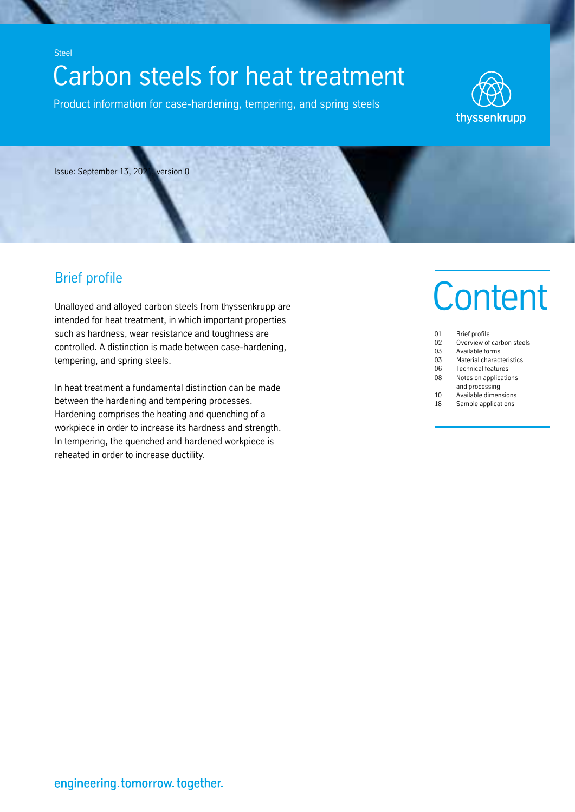# **C-STAT DUIT STEETS TOF FIEAL LIEALITIEFIL<br>Exclusive information for once hardening termoning and onling stacks.** Carbon steels for heat treatment

Product information for case-hardening, tempering, and spring steels



Issue: September 13, 2021, version 0

# Brief profile

Steel

Unalloyed and alloyed carbon steels from thyssenkrupp are intended for heat treatment, in which important properties such as hardness, wear resistance and toughness are controlled. A distinction is made between case-hardening, tempering, and spring steels.

In heat treatment a fundamental distinction can be made between the hardening and tempering processes. Hardening comprises the heating and quenching of a workpiece in order to increase its hardness and strength. In tempering, the quenched and hardened workpiece is reheated in order to increase ductility.

# **Content**

| 01 | <b>Brief profile</b>      |
|----|---------------------------|
| 02 | Overview of carbon steels |
| 03 | Available forms           |
| 03 | Material characteristics  |
| 06 | <b>Technical features</b> |
| 08 | Notes on applications     |
|    | and processing            |
| 10 | Available dimensions      |
| 18 | Sample applications       |
|    |                           |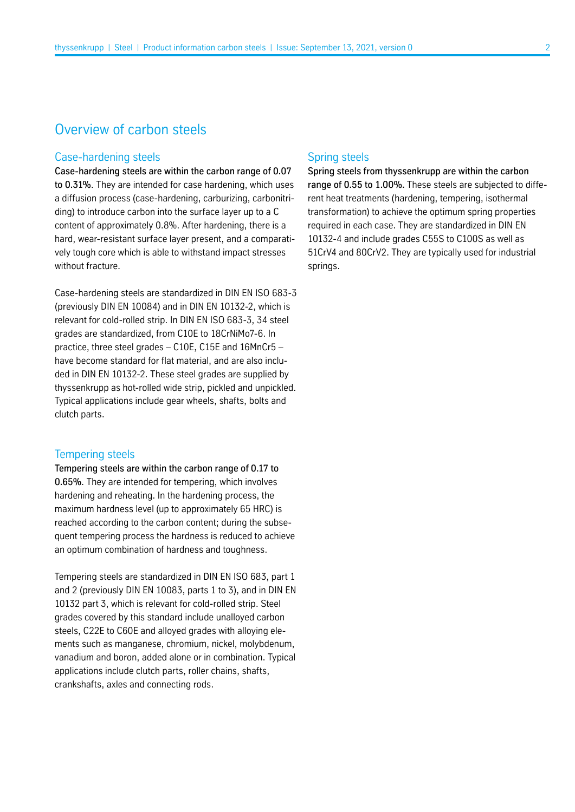# Overview of carbon steels

## Case-hardening steels

Case-hardening steels are within the carbon range of 0.07 to 0.31%. They are intended for case hardening, which uses a diffusion process (case-hardening, carburizing, carbonitriding) to introduce carbon into the surface layer up to a C content of approximately 0.8%. After hardening, there is a hard, wear-resistant surface layer present, and a comparatively tough core which is able to withstand impact stresses without fracture.

Case-hardening steels are standardized in DIN EN ISO 683-3 (previously DIN EN 10084) and in DIN EN 10132-2, which is relevant for cold-rolled strip. In DIN EN ISO 683-3, 34 steel grades are standardized, from C10E to 18CrNiMo7-6. In practice, three steel grades – C10E, C15E and 16MnCr5 – have become standard for flat material, and are also included in DIN EN 10132-2. These steel grades are supplied by thyssenkrupp as hot-rolled wide strip, pickled and unpickled. Typical applications include gear wheels, shafts, bolts and clutch parts.

#### Tempering steels

Tempering steels are within the carbon range of 0.17 to 0.65%. They are intended for tempering, which involves hardening and reheating. In the hardening process, the maximum hardness level (up to approximately 65 HRC) is reached according to the carbon content; during the subsequent tempering process the hardness is reduced to achieve an optimum combination of hardness and toughness.

Tempering steels are standardized in DIN EN ISO 683, part 1 and 2 (previously DIN EN 10083, parts 1 to 3), and in DIN EN 10132 part 3, which is relevant for cold-rolled strip. Steel grades covered by this standard include unalloyed carbon steels, C22E to C60E and alloyed grades with alloying elements such as manganese, chromium, nickel, molybdenum, vanadium and boron, added alone or in combination. Typical applications include clutch parts, roller chains, shafts, crankshafts, axles and connecting rods.

# Spring steels

Spring steels from thyssenkrupp are within the carbon range of 0.55 to 1.00%. These steels are subjected to different heat treatments (hardening, tempering, isothermal transformation) to achieve the optimum spring properties required in each case. They are standardized in DIN EN 10132-4 and include grades C55S to C100S as well as 51CrV4 and 80CrV2. They are typically used for industrial springs.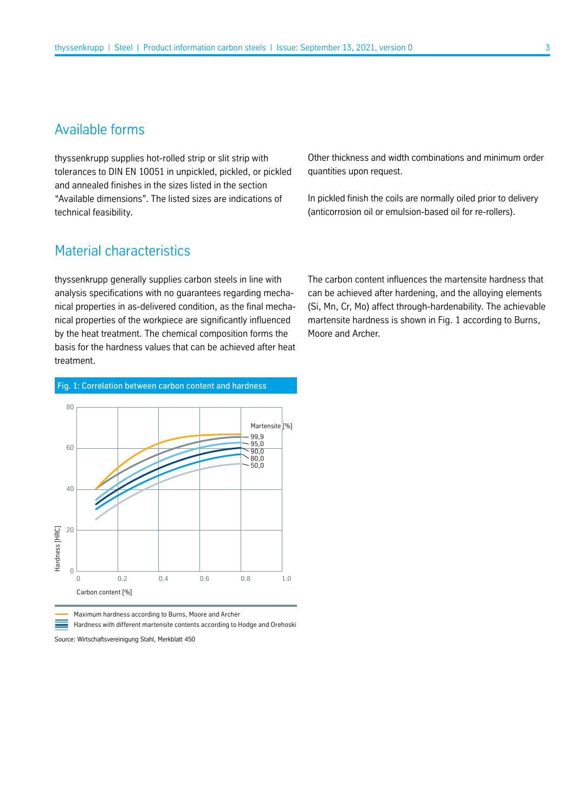# Available forms

thyssenkrupp supplies hot-rolled strip or slit strip with tolerances to DIN EN 10051 in unpickled, pickled, or pickled and annealed finishes in the sizes listed in the section "Available dimensions". The listed sizes are indications of technical feasibility.

Other thickness and width combinations and minimum order quantities upon request.

In pickled finish the coils are normally oiled prior to delivery (anticorrosion oil or emulsion-based oil for re-rollers).

# Material characteristics

thyssenkrupp generally supplies carbon steels in line with analysis specifications with no guarantees regarding mechanical properties in as-delivered condition, as the final mechanical properties of the workpiece are significantly influenced by the heat treatment. The chemical composition forms the basis for the hardness values that can be achieved after heat treatment.

Fig. 1: Correlation between carbon content and hardness



Maximum hardness according to Burns, Moore and Archer

Hardness with different martensite contents according to Hodge and Orehoski

Source: Wirtschaftsvereinigung Stahl, Merkblatt 450

The carbon content influences the martensite hardness that can be achieved after hardening, and the alloying elements (Si, Mn, Cr, Mo) affect through-hardenability. The achievable martensite hardness is shown in Fig. 1 according to Burns, Moore and Archer.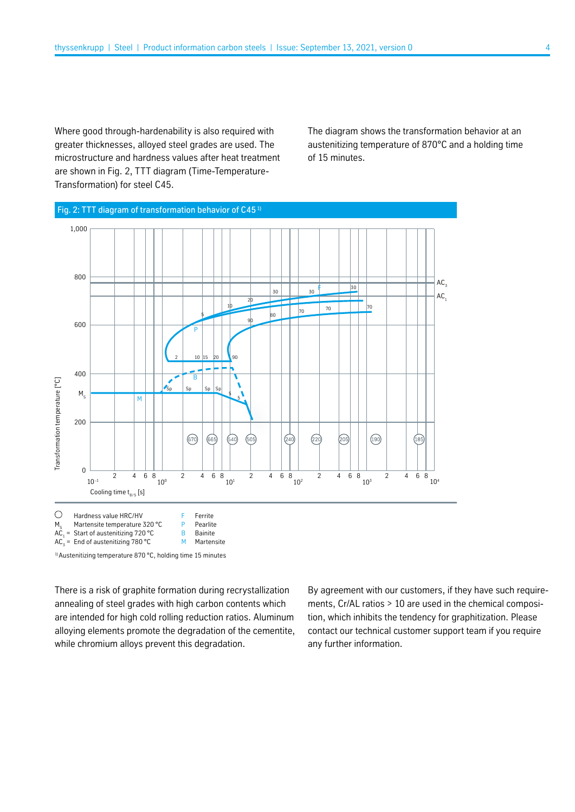Where good through-hardenability is also required with greater thicknesses, alloyed steel grades are used. The microstructure and hardness values after heat treatment are shown in Fig. 2, TTT diagram (Time-Temperature-Transformation) for steel C45.

The diagram shows the transformation behavior at an austenitizing temperature of 870°C and a holding time of 15 minutes.



There is a risk of graphite formation during recrystallization annealing of steel grades with high carbon contents which are intended for high cold rolling reduction ratios. Aluminum alloying elements promote the degradation of the cementite, while chromium alloys prevent this degradation.

By agreement with our customers, if they have such requirements, Cr/AL ratios > 10 are used in the chemical composition, which inhibits the tendency for graphitization. Please contact our technical customer support team if you require any further information.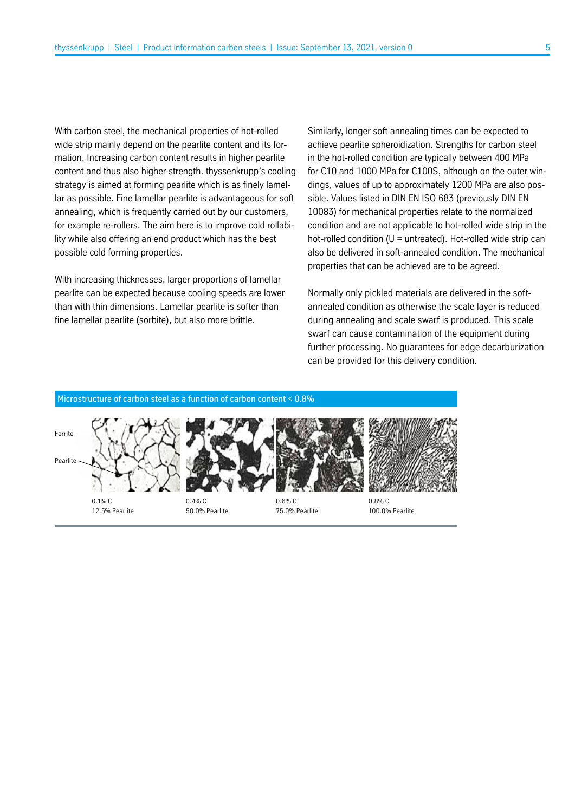With carbon steel, the mechanical properties of hot-rolled wide strip mainly depend on the pearlite content and its formation. Increasing carbon content results in higher pearlite content and thus also higher strength. thyssenkrupp's cooling strategy is aimed at forming pearlite which is as finely lamellar as possible. Fine lamellar pearlite is advantageous for soft annealing, which is frequently carried out by our customers, for example re-rollers. The aim here is to improve cold rollability while also offering an end product which has the best possible cold forming properties.

With increasing thicknesses, larger proportions of lamellar pearlite can be expected because cooling speeds are lower than with thin dimensions. Lamellar pearlite is softer than fine lamellar pearlite (sorbite), but also more brittle.

Similarly, longer soft annealing times can be expected to achieve pearlite spheroidization. Strengths for carbon steel in the hot-rolled condition are typically between 400 MPa for C10 and 1000 MPa for C100S, although on the outer windings, values of up to approximately 1200 MPa are also possible. Values listed in DIN EN ISO 683 (previously DIN EN 10083) for mechanical properties relate to the normalized condition and are not applicable to hot-rolled wide strip in the hot-rolled condition ( $U =$  untreated). Hot-rolled wide strip can also be delivered in soft-annealed condition. The mechanical properties that can be achieved are to be agreed.

Normally only pickled materials are delivered in the softannealed condition as otherwise the scale layer is reduced during annealing and scale swarf is produced. This scale swarf can cause contamination of the equipment during further processing. No guarantees for edge decarburization can be provided for this delivery condition.

#### Microstructure of carbon steel as a function of carbon content < 0.8%





50.0% Pearlite

75.0% Pearlite

0.8% C 100.0% Pearlite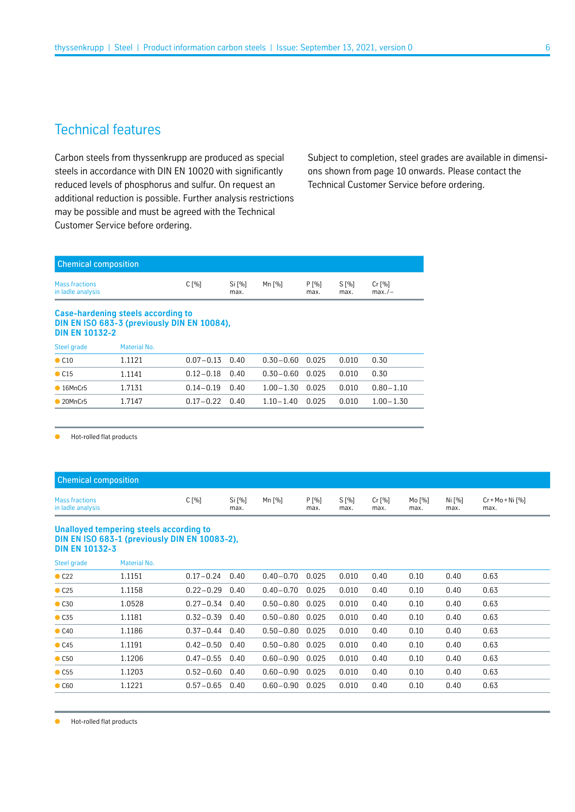# Technical features

Carbon steels from thyssenkrupp are produced as special steels in accordance with DIN EN 10020 with significantly reduced levels of phosphorus and sulfur. On request an additional reduction is possible. Further analysis restrictions may be possible and must be agreed with the Technical Customer Service before ordering.

Subject to completion, steel grades are available in dimensions shown from page 10 onwards. Please contact the Technical Customer Service before ordering.

| <b>Chemical composition</b><br>$C[\%]$<br>Si [%]<br>Mn [%]<br>$P1$ %1<br>$S1$ %<br>$Cr$ [%] |  |      |  |      |      |          |  |
|---------------------------------------------------------------------------------------------|--|------|--|------|------|----------|--|
| Mass fractions<br>in ladle analysis                                                         |  | max. |  | max. | max. | $max./-$ |  |

#### **Case-hardening steels according to DIN EN ISO 683-3 (previously DIN EN 10084), DIN EN 10132-2** Steel grade Material No.

| Steel grade               | Material NO. |                    |                     |       |               |  |
|---------------------------|--------------|--------------------|---------------------|-------|---------------|--|
| $\bullet$ C <sub>10</sub> | 1.1121       | $0.07 - 0.13$ 0.40 | 0.30-0.60 0.025     | 0.010 | 0.30          |  |
| $\bullet$ C <sub>15</sub> | 1.1141       | $0.12 - 0.18$ 0.40 | 0.30-0.60 0.025     | 0.010 | 0.30          |  |
| $\bullet$ 16MnCr5         | 1.7131       | $0.14 - 0.19$ 0.40 | $1.00 - 1.30$ 0.025 | 0.010 | $0.80 - 1.10$ |  |
| $\bullet$ 20MnCr5         | 1.7147       | $0.17 - 0.22$ 0.40 | $1.10 - 1.40$ 0.025 | 0.010 | $1.00 - 1.30$ |  |
|                           |              |                    |                     |       |               |  |

● Hot-rolled flat products

| <b>Chemical composition</b>         |       |                |        |              |                 |                |                |                |                          |
|-------------------------------------|-------|----------------|--------|--------------|-----------------|----------------|----------------|----------------|--------------------------|
| Mass fractions<br>in ladle analysis | C [%] | Si [%]<br>max. | Mn [%] | P[%]<br>max. | $S[\%]$<br>max. | Cr [%]<br>max. | Mo [%]<br>max. | Ni [%]<br>max. | Cr + Mo + Ni [%]<br>max. |

#### **Unalloyed tempering steels according to DIN EN ISO 683-1 (previously DIN EN 10083-2), DIN EN 10132-3**

| Steel grade               | <b>Material No.</b> |                    |      |               |       |       |      |      |      |      |  |
|---------------------------|---------------------|--------------------|------|---------------|-------|-------|------|------|------|------|--|
| C22                       | 1.1151              | $0.17 - 0.24$      | 0.40 | $0.40 - 0.70$ | 0.025 | 0.010 | 0.40 | 0.10 | 0.40 | 0.63 |  |
| C25                       | 1.1158              | $0.22 - 0.29$ 0.40 |      | $0.40 - 0.70$ | 0.025 | 0.010 | 0.40 | 0.10 | 0.40 | 0.63 |  |
| $\bullet$ C <sub>30</sub> | 1.0528              | $0.27 - 0.34$ 0.40 |      | $0.50 - 0.80$ | 0.025 | 0.010 | 0.40 | 0.10 | 0.40 | 0.63 |  |
| $\bullet$ C <sub>35</sub> | 1.1181              | $0.32 - 0.39$ 0.40 |      | $0.50 - 0.80$ | 0.025 | 0.010 | 0.40 | 0.10 | 0.40 | 0.63 |  |
| $\bullet$ C40             | 1.1186              | $0.37 - 0.44$ 0.40 |      | $0.50 - 0.80$ | 0.025 | 0.010 | 0.40 | 0.10 | 0.40 | 0.63 |  |
| C45                       | 1.1191              | $0.42 - 0.50$ 0.40 |      | $0.50 - 0.80$ | 0.025 | 0.010 | 0.40 | 0.10 | 0.40 | 0.63 |  |
| $\bullet$ C <sub>50</sub> | 1.1206              | $0.47 - 0.55$ 0.40 |      | $0.60 - 0.90$ | 0.025 | 0.010 | 0.40 | 0.10 | 0.40 | 0.63 |  |
| $\bullet$ C <sub>55</sub> | 1.1203              | $0.52 - 0.60$ 0.40 |      | $0.60 - 0.90$ | 0.025 | 0.010 | 0.40 | 0.10 | 0.40 | 0.63 |  |
| $\bullet$ C60             | 1.1221              | $0.57 - 0.65$ 0.40 |      | $0.60 - 0.90$ | 0.025 | 0.010 | 0.40 | 0.10 | 0.40 | 0.63 |  |
|                           |                     |                    |      |               |       |       |      |      |      |      |  |

Hot-rolled flat products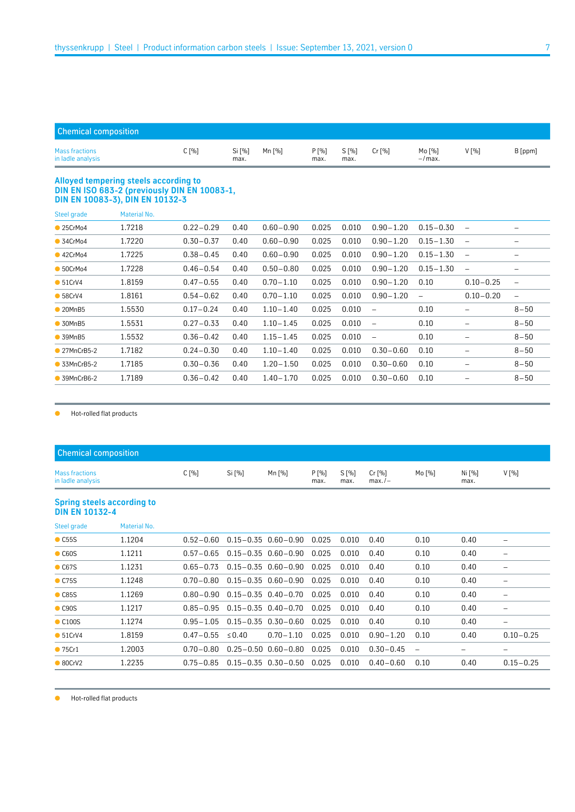| <b>Chemical composition</b>         |       |                |        |               |                 |          |                     |       |         |
|-------------------------------------|-------|----------------|--------|---------------|-----------------|----------|---------------------|-------|---------|
| Mass fractions<br>in ladle analysis | C [%] | Si [%]<br>max. | Mn [%] | P [%]<br>max. | $S[\%]$<br>max. | $Cr$ [%] | Mo [%]<br>$-$ /max. | V [%] | B [ppm] |

#### **Alloyed tempering steels according to DIN EN ISO 683-2 (previously DIN EN 10083-1, DIN EN 10083-3), DIN EN 10132-3**

| Steel grade          | Material No. |               |      |               |       |       |                   |                          |                          |                          |
|----------------------|--------------|---------------|------|---------------|-------|-------|-------------------|--------------------------|--------------------------|--------------------------|
| •25CrMo4             | 1.7218       | $0.22 - 0.29$ | 0.40 | $0.60 - 0.90$ | 0.025 | 0.010 | $0.90 - 1.20$     | $0.15 - 0.30$            | $\overline{\phantom{m}}$ |                          |
| $\bullet$ 34CrMo4    | 1.7220       | $0.30 - 0.37$ | 0.40 | $0.60 - 0.90$ | 0.025 | 0.010 | $0.90 - 1.20$     | $0.15 - 1.30$            | $\overline{\phantom{m}}$ |                          |
| •42CrMo4             | 1.7225       | $0.38 - 0.45$ | 0.40 | $0.60 - 0.90$ | 0.025 | 0.010 | $0.90 - 1.20$     | $0.15 - 1.30$            | $\overline{\phantom{m}}$ | $\equiv$                 |
| • 50CrMo4            | 1.7228       | $0.46 - 0.54$ | 0.40 | $0.50 - 0.80$ | 0.025 | 0.010 | $0.90 - 1.20$     | $0.15 - 1.30$            | $\overline{\phantom{m}}$ |                          |
| • 51CrV4             | 1.8159       | $0.47 - 0.55$ | 0.40 | $0.70 - 1.10$ | 0.025 | 0.010 | $0.90 - 1.20$     | 0.10                     | $0.10 - 0.25$            | $\qquad \qquad -$        |
| • 58CrV4             | 1.8161       | $0.54 - 0.62$ | 0.40 | $0.70 - 1.10$ | 0.025 | 0.010 | $0.90 - 1.20$     | $\overline{\phantom{m}}$ | $0.10 - 0.20$            | $\overline{\phantom{m}}$ |
| $\bullet$ 20MnB5     | 1.5530       | $0.17 - 0.24$ | 0.40 | $1.10 - 1.40$ | 0.025 | 0.010 | $\equiv$          | 0.10                     |                          | $8 - 50$                 |
| • 30MnB5             | 1.5531       | $0.27 - 0.33$ | 0.40 | $1.10 - 1.45$ | 0.025 | 0.010 | $\qquad \qquad -$ | 0.10                     | -                        | $8 - 50$                 |
| $\bullet$ 39MnB5     | 1.5532       | $0.36 - 0.42$ | 0.40 | $1.15 - 1.45$ | 0.025 | 0.010 | $\qquad \qquad -$ | 0.10                     | -                        | $8 - 50$                 |
| $\bullet$ 27MnCrB5-2 | 1.7182       | $0.24 - 0.30$ | 0.40 | $1.10 - 1.40$ | 0.025 | 0.010 | $0.30 - 0.60$     | 0.10                     |                          | $8 - 50$                 |
| $\bullet$ 33MnCrB5-2 | 1.7185       | $0.30 - 0.36$ | 0.40 | $1.20 - 1.50$ | 0.025 | 0.010 | $0.30 - 0.60$     | 0.10                     | -                        | $8 - 50$                 |
| $\bullet$ 39MnCrB6-2 | 1.7189       | $0.36 - 0.42$ | 0.40 | $1.40 - 1.70$ | 0.025 | 0.010 | $0.30 - 0.60$     | 0.10                     | -                        | $8 - 50$                 |

● Hot-rolled flat products

| <b>Chemical composition</b>         |       |        |        |               |                 |                        |          |                |         |
|-------------------------------------|-------|--------|--------|---------------|-----------------|------------------------|----------|----------------|---------|
| Mass fractions<br>in ladle analysis | C [%] | Si [%] | Mn [%] | P [%]<br>max. | $S[\%]$<br>max. | $Cr$ [%]<br>$max. / -$ | Mo $[%]$ | Ni [%]<br>max. | $V[\%]$ |
|                                     |       |        |        |               |                 |                        |          |                |         |

#### **Spring steels according to DIN EN 10132-4**

| Steel grade                 | <b>Material No.</b> |               |             |                                           |       |       |               |      |      |                          |
|-----------------------------|---------------------|---------------|-------------|-------------------------------------------|-------|-------|---------------|------|------|--------------------------|
| $\bullet$ C <sub>55</sub> S | 1.1204              | $0.52 - 0.60$ |             | $0.15 - 0.35$ $0.60 - 0.90$               | 0.025 | 0.010 | 0.40          | 0.10 | 0.40 |                          |
| $\bullet$ C60S              | 1.1211              | $0.57 - 0.65$ |             | $0.15 - 0.35$ $0.60 - 0.90$               | 0.025 | 0.010 | 0.40          | 0.10 | 0.40 | -                        |
| $\bullet$ C67S              | 1.1231              | $0.65 - 0.73$ |             | $0.15 - 0.35$ $0.60 - 0.90$               | 0.025 | 0.010 | 0.40          | 0.10 | 0.40 | $\overline{\phantom{m}}$ |
| $\bullet$ C75S              | 1.1248              | $0.70 - 0.80$ |             | 0.15-0.35 0.60-0.90                       | 0.025 | 0.010 | 0.40          | 0.10 | 0.40 |                          |
| $\bullet$ C85S              | 1.1269              |               |             | $0.80 - 0.90$ $0.15 - 0.35$ $0.40 - 0.70$ | 0.025 | 0.010 | 0.40          | 0.10 | 0.40 |                          |
| $\bullet$ C90S              | 1.1217              | 0.85 - 0.95   |             | $0.15 - 0.35$ 0.40-0.70                   | 0.025 | 0.010 | 0.40          | 0.10 | 0.40 |                          |
| $\bullet$ C100S             | 1.1274              | $0.95 - 1.05$ |             | $0.15 - 0.35$ $0.30 - 0.60$               | 0.025 | 0.010 | 0.40          | 0.10 | 0.40 | $\overline{\phantom{m}}$ |
| • 51CrV4                    | 1.8159              | $0.47 - 0.55$ | $\leq$ 0.40 | $0.70 - 1.10$                             | 0.025 | 0.010 | $0.90 - 1.20$ | 0.10 | 0.40 | $0.10 - 0.25$            |
| • 75Cr1                     | 1.2003              | $0.70 - 0.80$ |             | $0.25 - 0.50$ $0.60 - 0.80$               | 0.025 | 0.010 | $0.30 - 0.45$ |      |      |                          |
| $\bullet$ 80CrV2            | 1.2235              |               |             | $0.75 - 0.85$ $0.15 - 0.35$ $0.30 - 0.50$ | 0.025 | 0.010 | $0.40 - 0.60$ | 0.10 | 0.40 | $0.15 - 0.25$            |
|                             |                     |               |             |                                           |       |       |               |      |      |                          |

● Hot-rolled flat products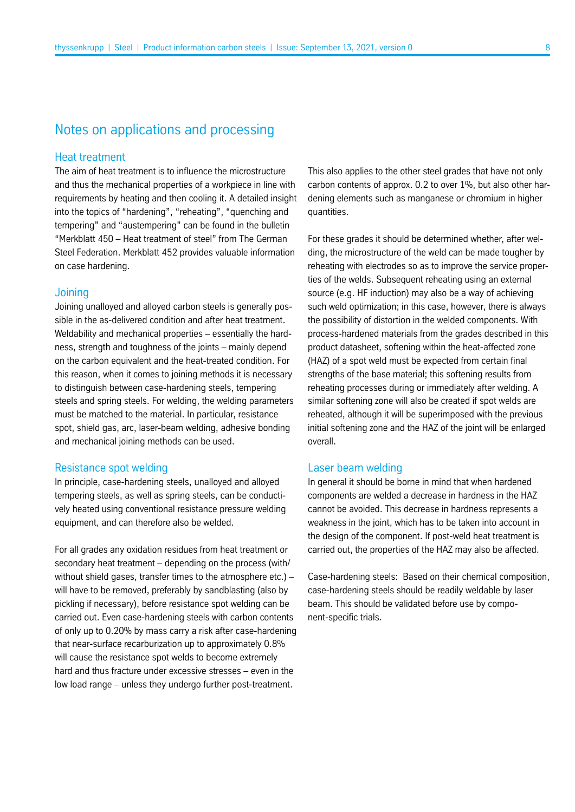# Notes on applications and processing

## Heat treatment

The aim of heat treatment is to influence the microstructure and thus the mechanical properties of a workpiece in line with requirements by heating and then cooling it. A detailed insight into the topics of "hardening", "reheating", "quenching and tempering" and "austempering" can be found in the bulletin "Merkblatt 450 – Heat treatment of steel" from The German Steel Federation. Merkblatt 452 provides valuable information on case hardening.

# **Joining**

Joining unalloyed and alloyed carbon steels is generally possible in the as-delivered condition and after heat treatment. Weldability and mechanical properties – essentially the hardness, strength and toughness of the joints – mainly depend on the carbon equivalent and the heat-treated condition. For this reason, when it comes to joining methods it is necessary to distinguish between case-hardening steels, tempering steels and spring steels. For welding, the welding parameters must be matched to the material. In particular, resistance spot, shield gas, arc, laser-beam welding, adhesive bonding and mechanical joining methods can be used.

## Resistance spot welding

In principle, case-hardening steels, unalloyed and alloyed tempering steels, as well as spring steels, can be conductively heated using conventional resistance pressure welding equipment, and can therefore also be welded.

For all grades any oxidation residues from heat treatment or secondary heat treatment – depending on the process (with/ without shield gases, transfer times to the atmosphere etc.) – will have to be removed, preferably by sandblasting (also by pickling if necessary), before resistance spot welding can be carried out. Even case-hardening steels with carbon contents of only up to 0.20% by mass carry a risk after case-hardening that near-surface recarburization up to approximately 0.8% will cause the resistance spot welds to become extremely hard and thus fracture under excessive stresses – even in the low load range – unless they undergo further post-treatment.

This also applies to the other steel grades that have not only carbon contents of approx. 0.2 to over 1%, but also other hardening elements such as manganese or chromium in higher quantities.

For these grades it should be determined whether, after welding, the microstructure of the weld can be made tougher by reheating with electrodes so as to improve the service properties of the welds. Subsequent reheating using an external source (e.g. HF induction) may also be a way of achieving such weld optimization; in this case, however, there is always the possibility of distortion in the welded components. With process-hardened materials from the grades described in this product datasheet, softening within the heat-affected zone (HAZ) of a spot weld must be expected from certain final strengths of the base material; this softening results from reheating processes during or immediately after welding. A similar softening zone will also be created if spot welds are reheated, although it will be superimposed with the previous initial softening zone and the HAZ of the joint will be enlarged overall.

## Laser beam welding

In general it should be borne in mind that when hardened components are welded a decrease in hardness in the HAZ cannot be avoided. This decrease in hardness represents a weakness in the joint, which has to be taken into account in the design of the component. If post-weld heat treatment is carried out, the properties of the HAZ may also be affected.

Case-hardening steels: Based on their chemical composition, case-hardening steels should be readily weldable by laser beam. This should be validated before use by component-specific trials.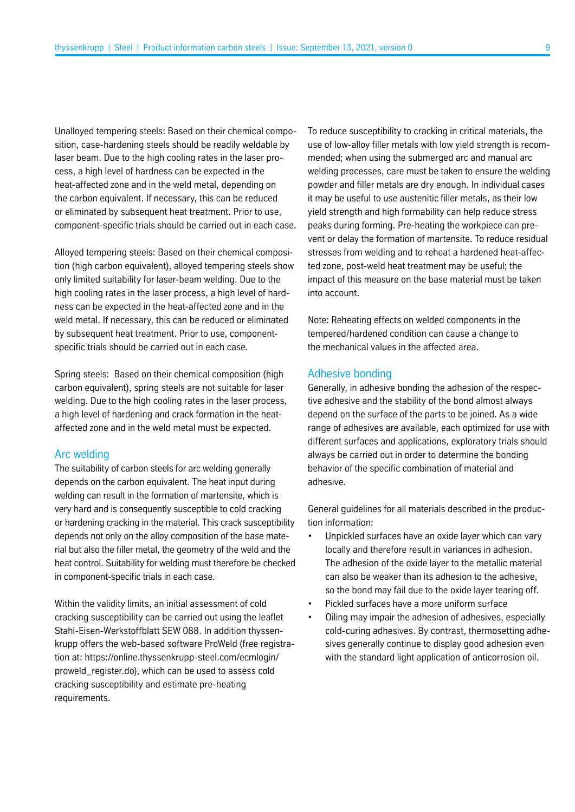Unalloyed tempering steels: Based on their chemical composition, case-hardening steels should be readily weldable by laser beam. Due to the high cooling rates in the laser process, a high level of hardness can be expected in the heat-affected zone and in the weld metal, depending on the carbon equivalent. If necessary, this can be reduced or eliminated by subsequent heat treatment. Prior to use, component-specific trials should be carried out in each case.

Alloyed tempering steels: Based on their chemical composition (high carbon equivalent), alloyed tempering steels show only limited suitability for laser-beam welding. Due to the high cooling rates in the laser process, a high level of hardness can be expected in the heat-affected zone and in the weld metal. If necessary, this can be reduced or eliminated by subsequent heat treatment. Prior to use, componentspecific trials should be carried out in each case.

Spring steels: Based on their chemical composition (high carbon equivalent), spring steels are not suitable for laser welding. Due to the high cooling rates in the laser process, a high level of hardening and crack formation in the heataffected zone and in the weld metal must be expected.

### Arc welding

The suitability of carbon steels for arc welding generally depends on the carbon equivalent. The heat input during welding can result in the formation of martensite, which is very hard and is consequently susceptible to cold cracking or hardening cracking in the material. This crack susceptibility depends not only on the alloy composition of the base material but also the filler metal, the geometry of the weld and the heat control. Suitability for welding must therefore be checked in component-specific trials in each case.

Within the validity limits, an initial assessment of cold cracking susceptibility can be carried out using the leaflet Stahl-Eisen-Werkstoffblatt SEW 088. In addition thyssenkrupp offers the web-based software ProWeld (free registration at: [https://online.thyssenkrupp-steel.com/ecmlogin/](https://online.thyssenkrupp-steel.com/ecmlogin/proweld_register.do) [proweld\\_register.do\),](https://online.thyssenkrupp-steel.com/ecmlogin/proweld_register.do) which can be used to assess cold cracking susceptibility and estimate pre-heating requirements.

To reduce susceptibility to cracking in critical materials, the use of low-alloy filler metals with low yield strength is recommended; when using the submerged arc and manual arc welding processes, care must be taken to ensure the welding powder and filler metals are dry enough. In individual cases it may be useful to use austenitic filler metals, as their low yield strength and high formability can help reduce stress peaks during forming. Pre-heating the workpiece can prevent or delay the formation of martensite. To reduce residual stresses from welding and to reheat a hardened heat-affected zone, post-weld heat treatment may be useful; the impact of this measure on the base material must be taken into account.

Note: Reheating effects on welded components in the tempered/hardened condition can cause a change to the mechanical values in the affected area.

#### Adhesive bonding

Generally, in adhesive bonding the adhesion of the respective adhesive and the stability of the bond almost always depend on the surface of the parts to be joined. As a wide range of adhesives are available, each optimized for use with different surfaces and applications, exploratory trials should always be carried out in order to determine the bonding behavior of the specific combination of material and adhesive.

General guidelines for all materials described in the production information:

- Unpickled surfaces have an oxide layer which can vary locally and therefore result in variances in adhesion. The adhesion of the oxide layer to the metallic material can also be weaker than its adhesion to the adhesive, so the bond may fail due to the oxide layer tearing off.
- Pickled surfaces have a more uniform surface
- Oiling may impair the adhesion of adhesives, especially cold-curing adhesives. By contrast, thermosetting adhesives generally continue to display good adhesion even with the standard light application of anticorrosion oil.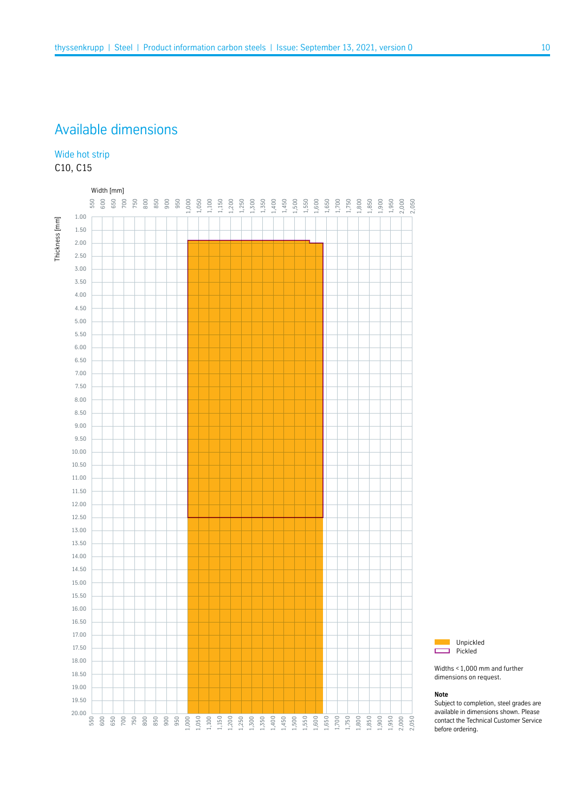# Available dimensions

## Wide hot strip C10, C15





Widths <1,000 mm and further dimensions on request.

#### **Note**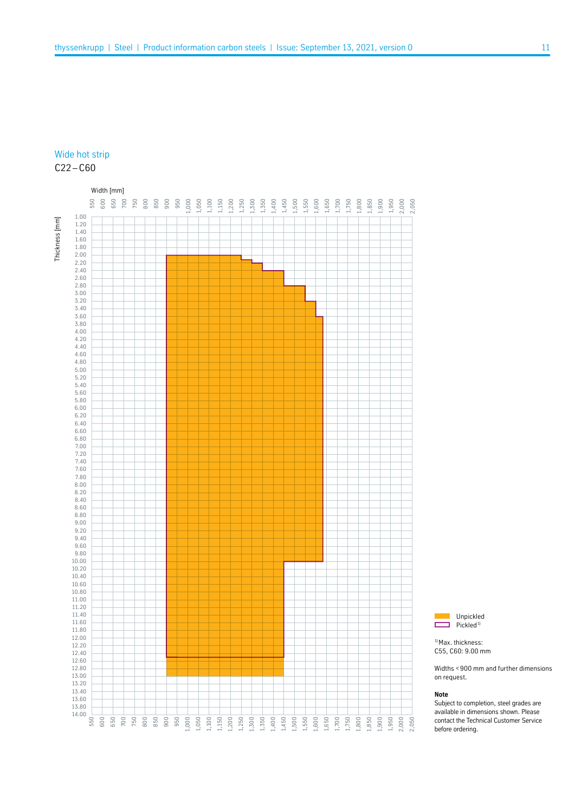## Wide hot strip  $C22 - C60$



Unpickled г  $\Box$  Pickled<sup>1)</sup>

<sup>1)</sup> Max. thickness: C55, C60: 9.00 mm

Widths <900 mm and further dimensions on request.

#### **Note**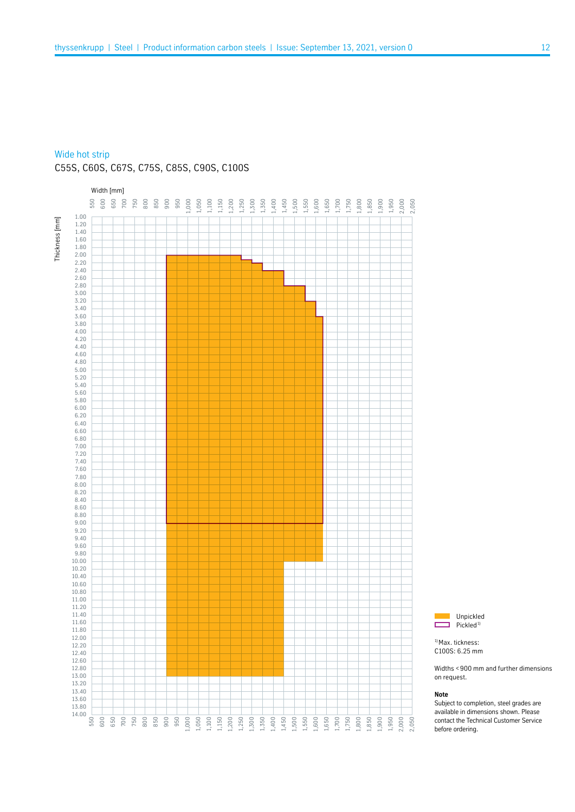### Wide hot strip

C55S, C60S, C67S, C75S, C85S, C90S, C100S





<sup>1)</sup> Max. tickness: C100S: 6.25 mm

Widths <900 mm and further dimensions on request.

#### **Note**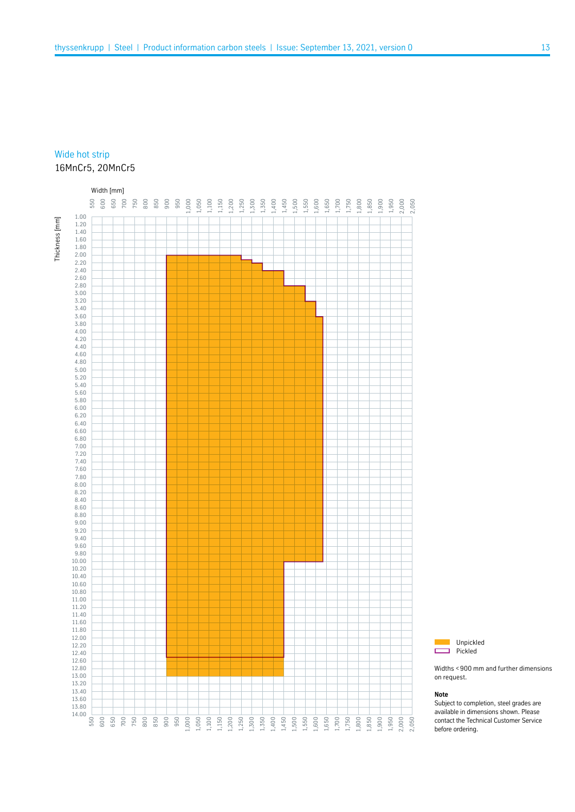# Wide hot strip 16MnCr5, 20MnCr5





Widths <900 mm and further dimensions on request.

#### **Note**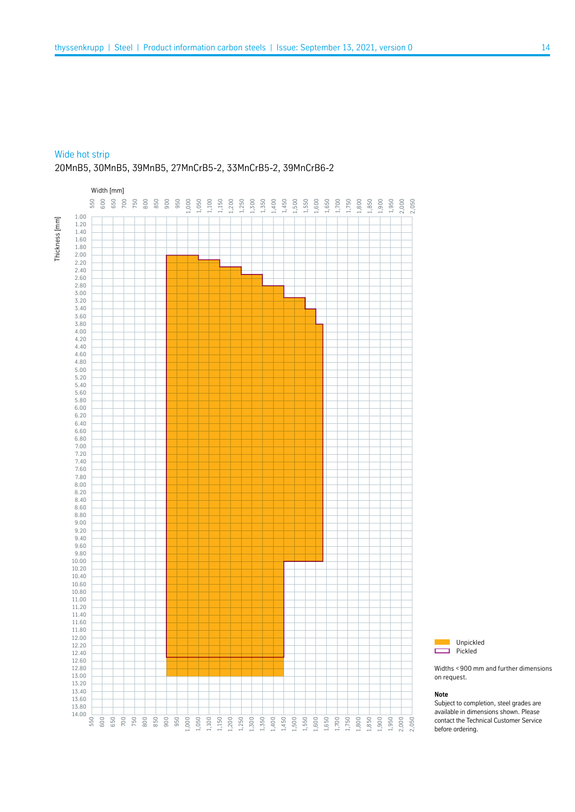#### Wide hot strip

## 20MnB5, 30MnB5, 39MnB5, 27MnCrB5-2, 33MnCrB5-2, 39MnCrB6-2





Widths <900 mm and further dimensions on request.

#### **Note**

г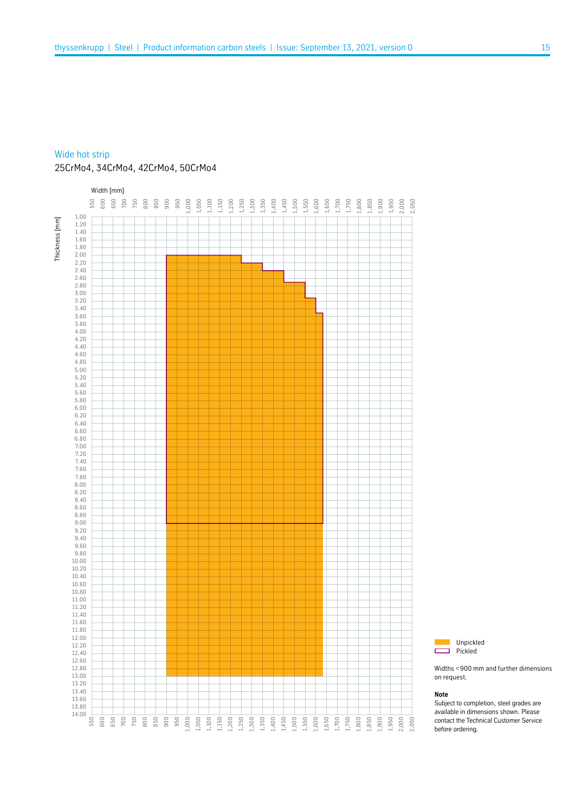### Wide hot strip

## 25CrMo4, 34CrMo4, 42CrMo4, 50CrMo4





Widths <900 mm and further dimensions on request.

#### **Note**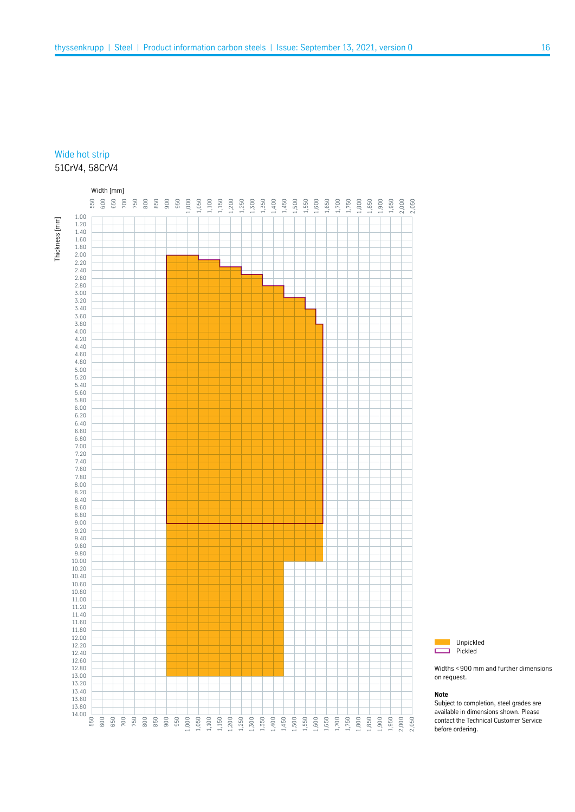# Wide hot strip 51CrV4, 58CrV4





Widths <900 mm and further dimensions on request.

#### **Note**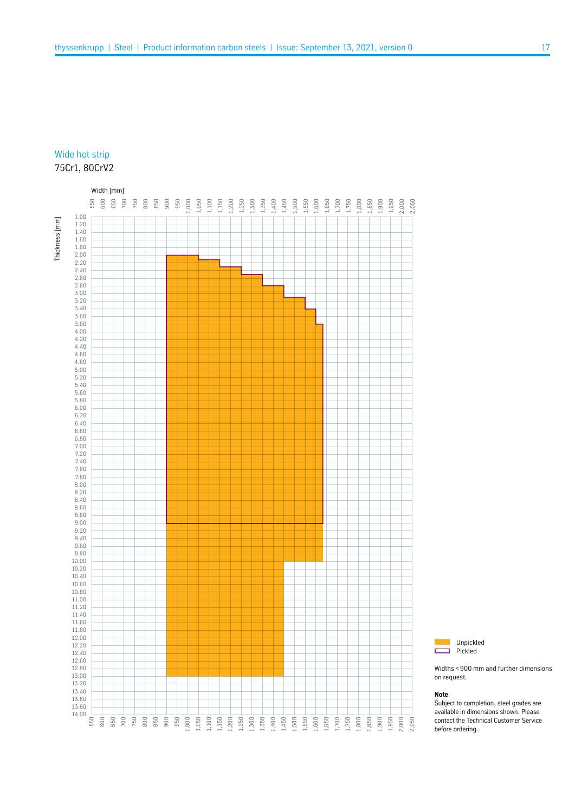# Wide hot strip 75Cr1, 80CrV2





Widths <900 mm and further dimensions on request.

#### **Note**